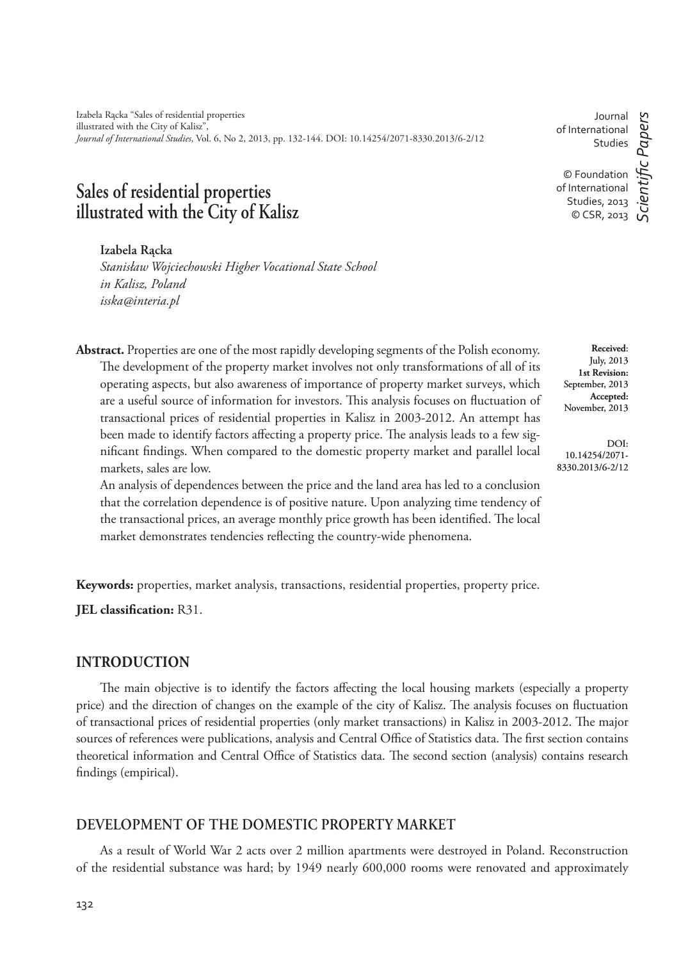Izabela Rącka "Sales of residential properties illustrated with the City of Kalisz", *Journal of International Studies*, Vol. 6, No 2, 2013, pp. 132-144. DOI: 10.14254/2071-8330.2013/6-2/12

# **Sales of residential properties illustrated with the City of Kalisz**

#### **Izabela Rącka**

*Stanisław Wojciechowski Higher Vocational State School in Kalisz, Poland isska@interia.pl*

**Abstract.** Properties are one of the most rapidly developing segments of the Polish economy. The development of the property market involves not only transformations of all of its operating aspects, but also awareness of importance of property market surveys, which are a useful source of information for investors. This analysis focuses on fluctuation of transactional prices of residential properties in Kalisz in 2003-2012. An attempt has been made to identify factors affecting a property price. The analysis leads to a few significant findings. When compared to the domestic property market and parallel local markets, sales are low.

An analysis of dependences between the price and the land area has led to a conclusion that the correlation dependence is of positive nature. Upon analyzing time tendency of the transactional prices, an average monthly price growth has been identified. The local market demonstrates tendencies reflecting the country-wide phenomena.

**Keywords:** properties, market analysis, transactions, residential properties, property price.

**JEL classification: R31.** 

# **INTRODUCTION**

The main objective is to identify the factors affecting the local housing markets (especially a property price) and the direction of changes on the example of the city of Kalisz. The analysis focuses on fluctuation of transactional prices of residential properties (only market transactions) in Kalisz in 2003-2012. The major sources of references were publications, analysis and Central Office of Statistics data. The first section contains theoretical information and Central Office of Statistics data. The second section (analysis) contains research findings (empirical).

# **DEVELOPMENT OF THE DOMESTIC PROPERTY MARKET**

As a result of World War 2 acts over 2 million apartments were destroyed in Poland. Reconstruction of the residential substance was hard; by 1949 nearly 600,000 rooms were renovated and approximately

132

Journal of International Studies © Foundation of International Studies, 2013 © CSR, 2013

DOI: 10.14254/2071- 8330.2013/6-2/12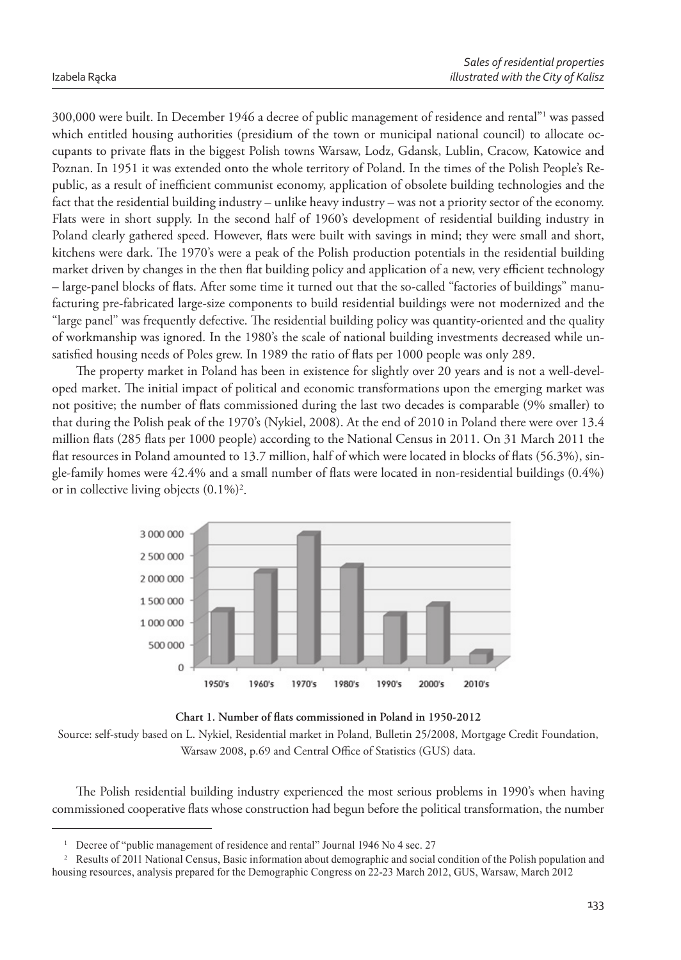300,000 were built. In December 1946 a decree of public management of residence and rental"<sup>1</sup> was passed which entitled housing authorities (presidium of the town or municipal national council) to allocate occupants to private flats in the biggest Polish towns Warsaw, Lodz, Gdansk, Lublin, Cracow, Katowice and Poznan. In 1951 it was extended onto the whole territory of Poland. In the times of the Polish People's Republic, as a result of inefficient communist economy, application of obsolete building technologies and the fact that the residential building industry – unlike heavy industry – was not a priority sector of the economy. Flats were in short supply. In the second half of 1960's development of residential building industry in Poland clearly gathered speed. However, flats were built with savings in mind; they were small and short, kitchens were dark. The 1970's were a peak of the Polish production potentials in the residential building market driven by changes in the then flat building policy and application of a new, very efficient technology – large-panel blocks of flats. After some time it turned out that the so-called "factories of buildings" manufacturing pre-fabricated large-size components to build residential buildings were not modernized and the "large panel" was frequently defective. The residential building policy was quantity-oriented and the quality of workmanship was ignored. In the 1980's the scale of national building investments decreased while unsatisfied housing needs of Poles grew. In 1989 the ratio of flats per 1000 people was only 289.

The property market in Poland has been in existence for slightly over 20 years and is not a well-developed market. The initial impact of political and economic transformations upon the emerging market was not positive; the number of flats commissioned during the last two decades is comparable (9% smaller) to that during the Polish peak of the 1970's (Nykiel, 2008). At the end of 2010 in Poland there were over 13.4 million flats (285 flats per 1000 people) according to the National Census in 2011. On 31 March 2011 the flat resources in Poland amounted to 13.7 million, half of which were located in blocks of flats (56.3%), single-family homes were  $42.4\%$  and a small number of flats were located in non-residential buildings  $(0.4\%)$ or in collective living objects  $(0.1\%)^2$ .



## Chart 1. Number of flats commissioned in Poland in 1950-2012

Source: self-study based on L. Nykiel, Residential market in Poland, Bulletin 25/2008, Mortgage Credit Foundation, Warsaw 2008, p.69 and Central Office of Statistics (GUS) data.

The Polish residential building industry experienced the most serious problems in 1990's when having commissioned cooperative flats whose construction had begun before the political transformation, the number

<sup>1</sup>Decree of "public management of residence and rental" Journal 1946 No 4 sec. 27

<sup>&</sup>lt;sup>2</sup> Results of 2011 National Census, Basic information about demographic and social condition of the Polish population and housing resources, analysis prepared for the Demographic Congress on 22-23 March 2012, GUS, Warsaw, March 2012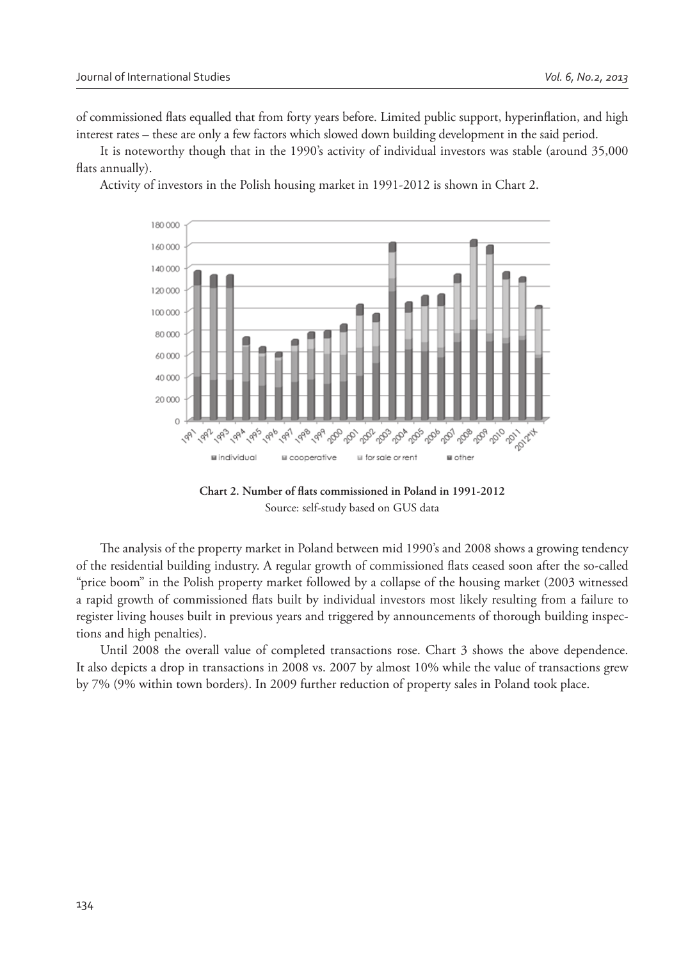of commissioned flats equalled that from forty years before. Limited public support, hyperinflation, and high interest rates – these are only a few factors which slowed down building development in the said period.

It is noteworthy though that in the 1990's activity of individual investors was stable (around 35,000 flats annually).

Activity of investors in the Polish housing market in 1991-2012 is shown in Chart 2.



Chart 2. Number of flats commissioned in Poland in 1991-2012 Source: self-study based on GUS data

The analysis of the property market in Poland between mid 1990's and 2008 shows a growing tendency of the residential building industry. A regular growth of commissioned flats ceased soon after the so-called "price boom" in the Polish property market followed by a collapse of the housing market (2003 witnessed a rapid growth of commissioned flats built by individual investors most likely resulting from a failure to register living houses built in previous years and triggered by announcements of thorough building inspections and high penalties).

Until 2008 the overall value of completed transactions rose. Chart 3 shows the above dependence. It also depicts a drop in transactions in 2008 vs. 2007 by almost 10% while the value of transactions grew by 7% (9% within town borders). In 2009 further reduction of property sales in Poland took place.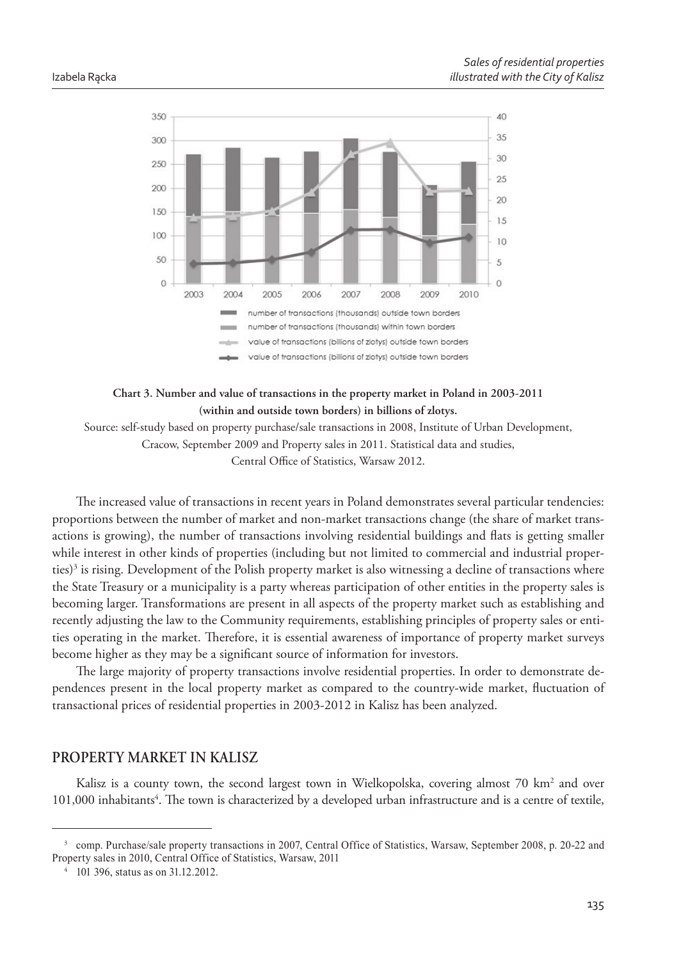

### **Chart 3. Number and value of transactions in the property market in Poland in 2003-2011 (within and outside town borders) in billions of zlotys.**

Source: self-study based on property purchase/sale transactions in 2008, Institute of Urban Development, Cracow, September 2009 and Property sales in 2011. Statistical data and studies, Central Office of Statistics, Warsaw 2012.

The increased value of transactions in recent years in Poland demonstrates several particular tendencies: proportions between the number of market and non-market transactions change (the share of market transactions is growing), the number of transactions involving residential buildings and flats is getting smaller while interest in other kinds of properties (including but not limited to commercial and industrial properties)<sup>3</sup> is rising. Development of the Polish property market is also witnessing a decline of transactions where the State Treasury or a municipality is a party whereas participation of other entities in the property sales is becoming larger. Transformations are present in all aspects of the property market such as establishing and recently adjusting the law to the Community requirements, establishing principles of property sales or entities operating in the market. Therefore, it is essential awareness of importance of property market surveys become higher as they may be a significant source of information for investors.

The large majority of property transactions involve residential properties. In order to demonstrate dependences present in the local property market as compared to the country-wide market, fluctuation of transactional prices of residential properties in 2003-2012 in Kalisz has been analyzed.

## **PROPERTY MARKET IN KALISZ**

Kalisz is a county town, the second largest town in Wielkopolska, covering almost 70 km<sup>2</sup> and over 101,000 inhabitants<sup>4</sup>. The town is characterized by a developed urban infrastructure and is a centre of textile,

<sup>&</sup>lt;sup>3</sup> comp. Purchase/sale property transactions in 2007, Central Office of Statistics, Warsaw, September 2008, p. 20-22 and Property sales in 2010, Central Office of Statistics, Warsaw, 2011

<sup>4</sup> 101 396, status as on 31.12.2012.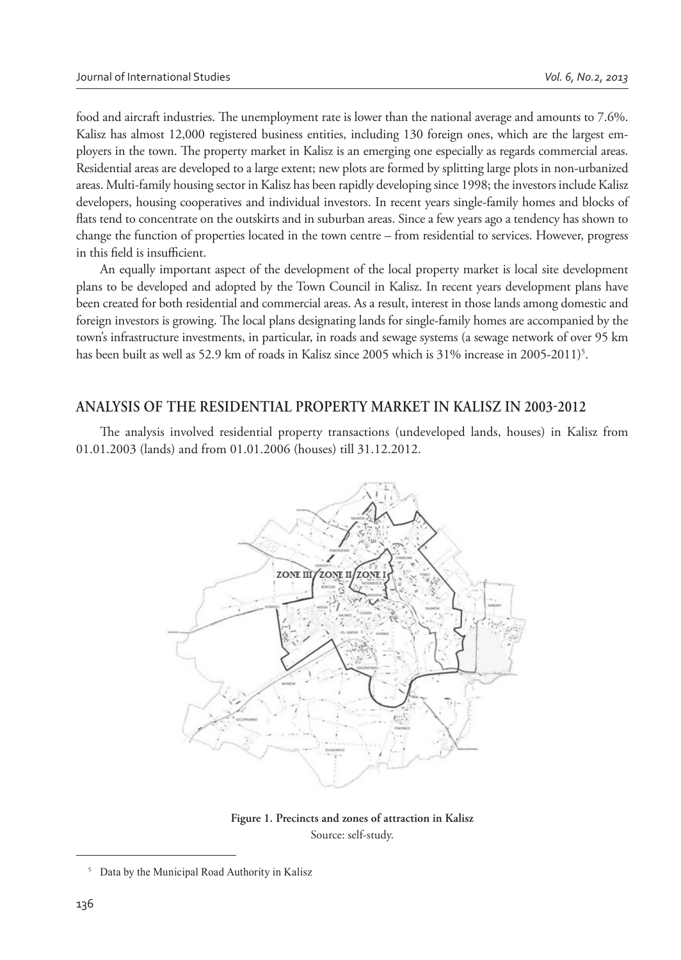food and aircraft industries. The unemployment rate is lower than the national average and amounts to 7.6%. Kalisz has almost 12,000 registered business entities, including 130 foreign ones, which are the largest employers in the town. The property market in Kalisz is an emerging one especially as regards commercial areas. Residential areas are developed to a large extent; new plots are formed by splitting large plots in non-urbanized areas. Multi-family housing sector in Kalisz has been rapidly developing since 1998; the investors include Kalisz developers, housing cooperatives and individual investors. In recent years single-family homes and blocks of flats tend to concentrate on the outskirts and in suburban areas. Since a few years ago a tendency has shown to change the function of properties located in the town centre – from residential to services. However, progress in this field is insufficient.

An equally important aspect of the development of the local property market is local site development plans to be developed and adopted by the Town Council in Kalisz. In recent years development plans have been created for both residential and commercial areas. As a result, interest in those lands among domestic and foreign investors is growing. The local plans designating lands for single-family homes are accompanied by the town's infrastructure investments, in particular, in roads and sewage systems (a sewage network of over 95 km has been built as well as 52.9 km of roads in Kalisz since 2005 which is 31% increase in 2005-2011)<sup>5</sup>.

### **ANALYSIS OF THE RESIDENTIAL PROPERTY MARKET IN KALISZ IN 20032012**

The analysis involved residential property transactions (undeveloped lands, houses) in Kalisz from 01.01.2003 (lands) and from 01.01.2006 (houses) till 31.12.2012.



**Figure 1. Precincts and zones of attraction in Kalisz** Source: self-study.

<sup>5</sup> Data by the Municipal Road Authority in Kalisz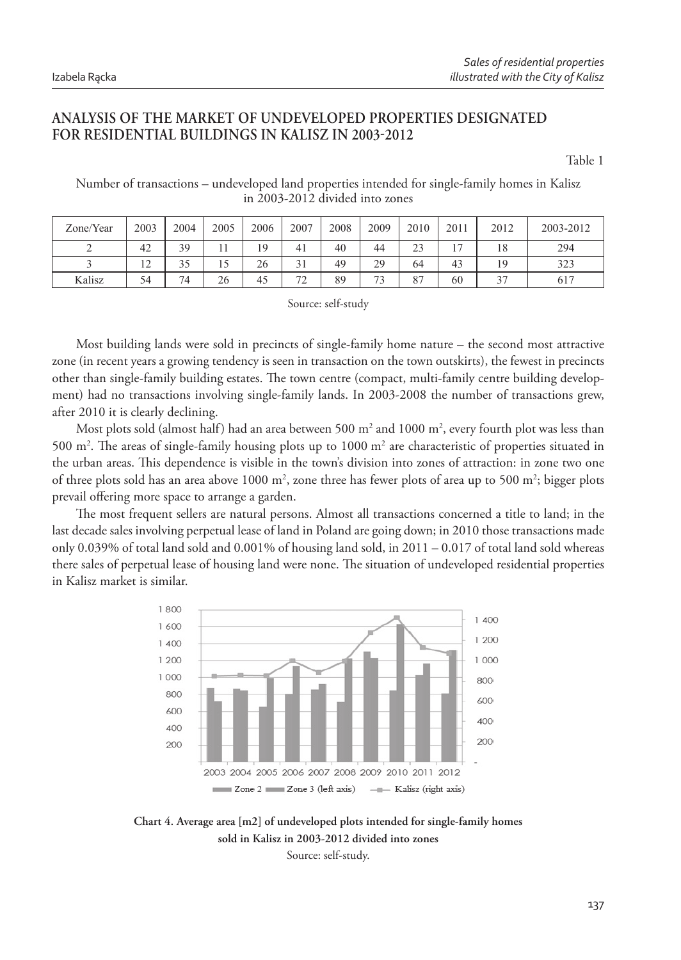# **ANALYSIS OF THE MARKET OF UNDEVELOPED PROPERTIES DESIGNATED FOR RESIDENTIAL BUILDINGS IN KALISZ IN 2003-2012**

Table 1

Number of transactions – undeveloped land properties intended for single-family homes in Kalisz in 2003-2012 divided into zones

| Zone/Year | 2003                             | 2004 | 2005 | 2006 | 2007                          | 2008 | 2009 | 2010 | 2011                     | 2012 | 2003-2012 |
|-----------|----------------------------------|------|------|------|-------------------------------|------|------|------|--------------------------|------|-----------|
|           | 42                               | 39   |      | 10   | 41                            | 40   | 44   | 23   | $\overline{\phantom{0}}$ | 18   | 294       |
|           | 1 <sub>2</sub><br>$\overline{1}$ | 35   |      | 26   | 21                            | 49   | 29   | 64   | 43                       |      | 323       |
| Kalisz    | 54                               | 74   | 26   | 45   | $\overline{\phantom{a}}$<br>2 | 89   | 73   | 87   | 60                       |      | 617       |

Source: self-study

Most building lands were sold in precincts of single-family home nature – the second most attractive zone (in recent years a growing tendency is seen in transaction on the town outskirts), the fewest in precincts other than single-family building estates. The town centre (compact, multi-family centre building development) had no transactions involving single-family lands. In 2003-2008 the number of transactions grew, after 2010 it is clearly declining.

Most plots sold (almost half) had an area between 500 m<sup>2</sup> and 1000 m<sup>2</sup>, every fourth plot was less than 500 m<sup>2</sup>. The areas of single-family housing plots up to 1000 m<sup>2</sup> are characteristic of properties situated in the urban areas. This dependence is visible in the town's division into zones of attraction: in zone two one of three plots sold has an area above 1000 m<sup>2</sup>, zone three has fewer plots of area up to 500 m<sup>2</sup>; bigger plots prevail offering more space to arrange a garden.

The most frequent sellers are natural persons. Almost all transactions concerned a title to land; in the last decade sales involving perpetual lease of land in Poland are going down; in 2010 those transactions made only 0.039% of total land sold and 0.001% of housing land sold, in 2011 – 0.017 of total land sold whereas there sales of perpetual lease of housing land were none. The situation of undeveloped residential properties in Kalisz market is similar.



**Chart 4. Average area [m2] of undeveloped plots intended for single-family homes sold in Kalisz in 2003-2012 divided into zones** Source: self-study.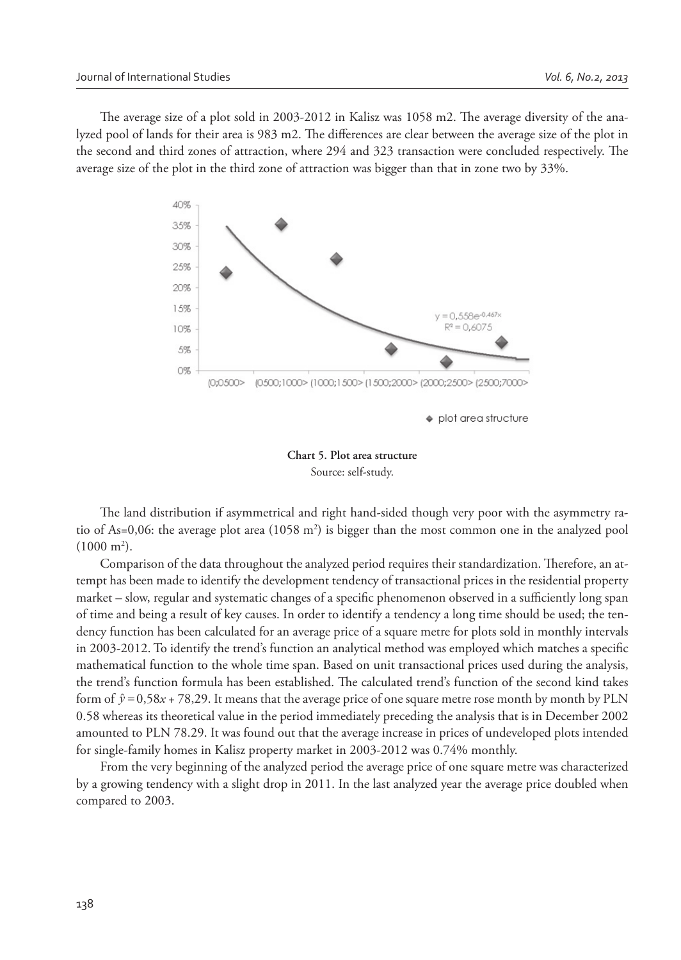The average size of a plot sold in 2003-2012 in Kalisz was 1058 m2. The average diversity of the analyzed pool of lands for their area is 983 m2. The differences are clear between the average size of the plot in the second and third zones of attraction, where 294 and 323 transaction were concluded respectively. The average size of the plot in the third zone of attraction was bigger than that in zone two by 33%.



**Chart 5. Plot area structure**  Source: self-study.

The land distribution if asymmetrical and right hand-sided though very poor with the asymmetry ratio of As=0,06: the average plot area  $(1058 \text{ m}^2)$  is bigger than the most common one in the analyzed pool  $(1000 \text{ m}^2)$ .

Comparison of the data throughout the analyzed period requires their standardization. Therefore, an attempt has been made to identify the development tendency of transactional prices in the residential property market – slow, regular and systematic changes of a specific phenomenon observed in a sufficiently long span of time and being a result of key causes. In order to identify a tendency a long time should be used; the tendency function has been calculated for an average price of a square metre for plots sold in monthly intervals in 2003-2012. To identify the trend's function an analytical method was employed which matches a specific mathematical function to the whole time span. Based on unit transactional prices used during the analysis, the trend's function formula has been established. The calculated trend's function of the second kind takes form of  $\hat{y} = 0.58x + 78.29$ . It means that the average price of one square metre rose month by month by PLN 0.58 whereas its theoretical value in the period immediately preceding the analysis that is in December 2002 amounted to PLN 78.29. It was found out that the average increase in prices of undeveloped plots intended for single-family homes in Kalisz property market in 2003-2012 was 0.74% monthly.

From the very beginning of the analyzed period the average price of one square metre was characterized by a growing tendency with a slight drop in 2011. In the last analyzed year the average price doubled when compared to 2003.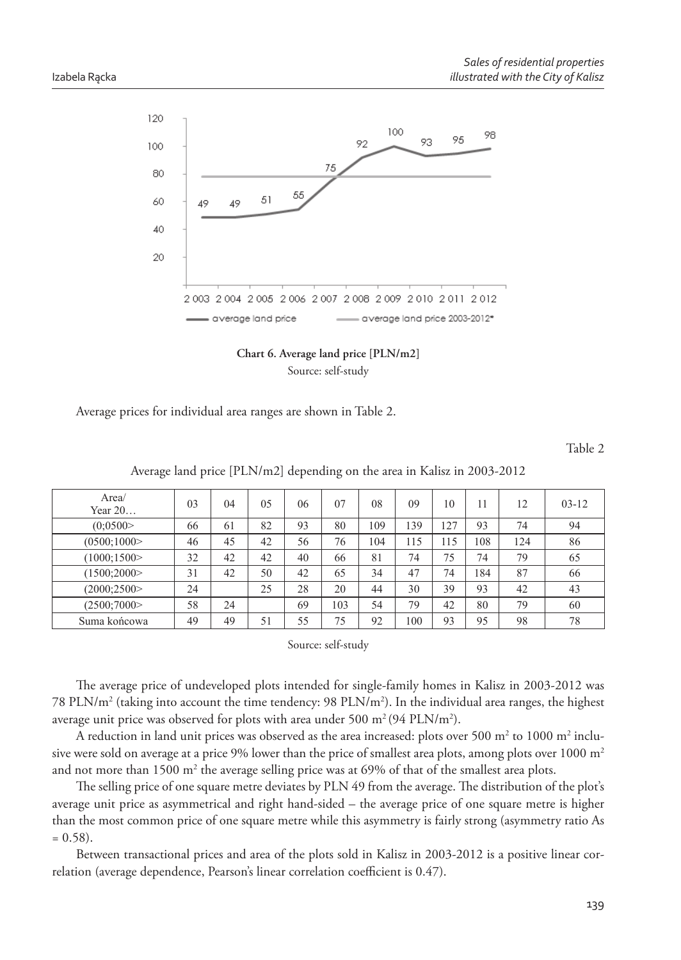

**Chart 6. Average land price [PLN/m2]** Source: self-study

Average prices for individual area ranges are shown in Table 2.

Table 2

| Average land price [PLN/m2] depending on the area in Kalisz in 2003-2012 |
|--------------------------------------------------------------------------|
|--------------------------------------------------------------------------|

| Area/<br>Year $20$ | 03 | 04 | 05 | 06 | 07  | 08  | 09  | 10  | 11  | 12  | $03 - 12$ |
|--------------------|----|----|----|----|-----|-----|-----|-----|-----|-----|-----------|
| (0.0500)           | 66 | 61 | 82 | 93 | 80  | 109 | 139 | 127 | 93  | 74  | 94        |
| (0500;1000)        | 46 | 45 | 42 | 56 | 76  | 104 | 115 | 115 | 108 | 124 | 86        |
| (1000; 1500)       | 32 | 42 | 42 | 40 | 66  | 81  | 74  | 75  | 74  | 79  | 65        |
| (1500;2000)        | 31 | 42 | 50 | 42 | 65  | 34  | 47  | 74  | 184 | 87  | 66        |
| (2000; 2500)       | 24 |    | 25 | 28 | 20  | 44  | 30  | 39  | 93  | 42  | 43        |
| (2500;7000)        | 58 | 24 |    | 69 | 103 | 54  | 79  | 42  | 80  | 79  | 60        |
| Suma końcowa       | 49 | 49 | 51 | 55 | 75  | 92  | 100 | 93  | 95  | 98  | 78        |

Source: self-study

The average price of undeveloped plots intended for single-family homes in Kalisz in 2003-2012 was 78 PLN/m<sup>2</sup> (taking into account the time tendency: 98 PLN/m<sup>2</sup>). In the individual area ranges, the highest average unit price was observed for plots with area under 500 m<sup>2</sup> (94 PLN/m<sup>2</sup>).

A reduction in land unit prices was observed as the area increased: plots over 500  $\mathrm{m}^2$  to 1000  $\mathrm{m}^2$  inclusive were sold on average at a price 9% lower than the price of smallest area plots, among plots over  $1000 \text{ m}^2$ and not more than  $1500 \text{ m}^2$  the average selling price was at 69% of that of the smallest area plots.

The selling price of one square metre deviates by PLN 49 from the average. The distribution of the plot's average unit price as asymmetrical and right hand-sided – the average price of one square metre is higher than the most common price of one square metre while this asymmetry is fairly strong (asymmetry ratio As  $= 0.58$ ).

Between transactional prices and area of the plots sold in Kalisz in 2003-2012 is a positive linear correlation (average dependence, Pearson's linear correlation coefficient is 0.47).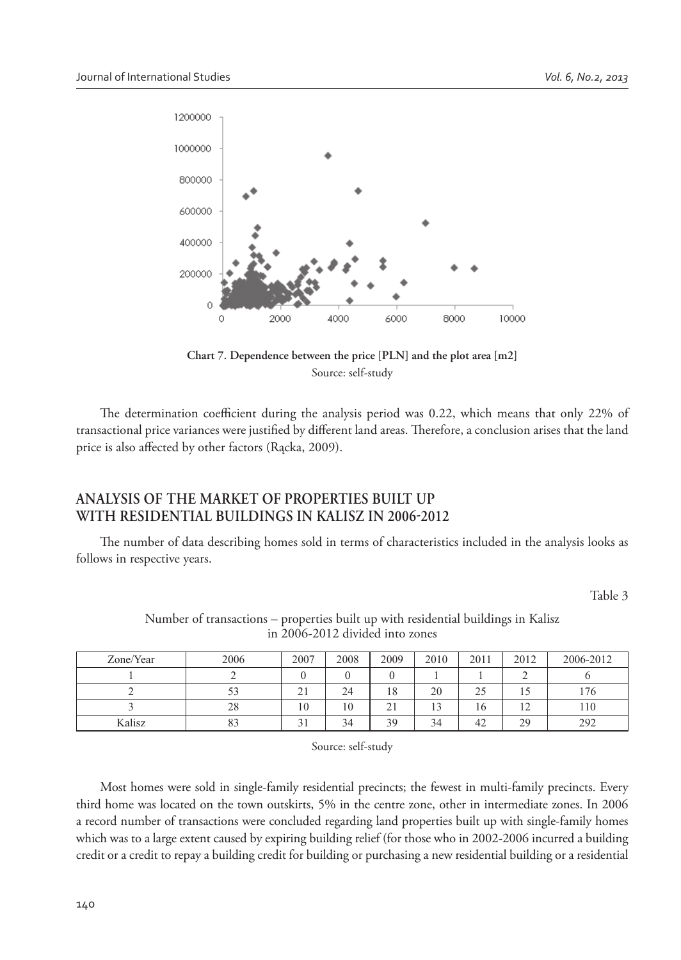

**Chart 7. Dependence between the price [PLN] and the plot area [m2]**  Source: self-study

The determination coefficient during the analysis period was 0.22, which means that only 22% of transactional price variances were justified by different land areas. Therefore, a conclusion arises that the land price is also affected by other factors (Rącka, 2009).

# **ANALYSIS OF THE MARKET OF PROPERTIES BUILT UP**  WITH RESIDENTIAL BUILDINGS IN KALISZ IN 2006-2012

The number of data describing homes sold in terms of characteristics included in the analysis looks as follows in respective years.

Table 3

| Zone/Year | 2006 | 2007     | 2008 | 2009         | 2010           | 2011      | 2012                             | 2006-2012 |
|-----------|------|----------|------|--------------|----------------|-----------|----------------------------------|-----------|
|           |      |          |      |              |                |           |                                  |           |
|           |      | n.<br>∠⊥ | 24   | 18           | 20             | 25<br>ن ک |                                  | 176       |
|           | 28   | 10       | 10   | $\sim$<br>-4 | 1 <sub>2</sub> | 16        | 1 <sub>2</sub><br>$\overline{1}$ | 110       |
| Kalisz    | 83   | $\sim$   | 34   | 39           | 34             | 42        | 29                               | 292       |

Number of transactions – properties built up with residential buildings in Kalisz in 2006-2012 divided into zones

Source: self-study

Most homes were sold in single-family residential precincts; the fewest in multi-family precincts. Every third home was located on the town outskirts, 5% in the centre zone, other in intermediate zones. In 2006 a record number of transactions were concluded regarding land properties built up with single-family homes which was to a large extent caused by expiring building relief (for those who in 2002-2006 incurred a building credit or a credit to repay a building credit for building or purchasing a new residential building or a residential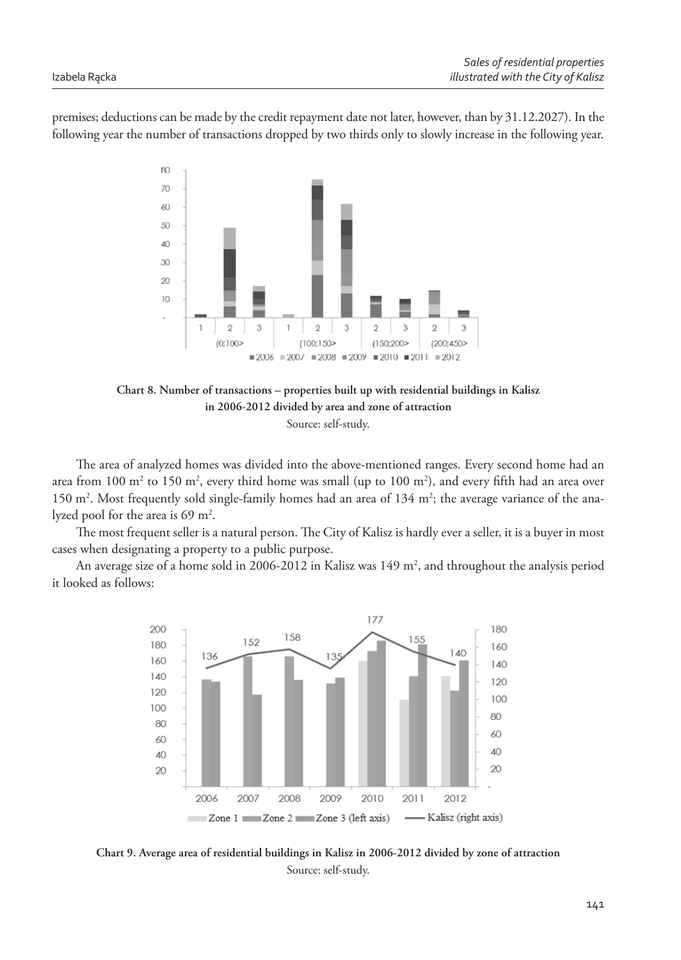premises; deductions can be made by the credit repayment date not later, however, than by 31.12.2027). In the following year the number of transactions dropped by two thirds only to slowly increase in the following year.



**Chart 8. Number of transactions – properties built up with residential buildings in Kalisz in 2006-2012 divided by area and zone of attraction** Source: self-study.

The area of analyzed homes was divided into the above-mentioned ranges. Every second home had an area from  $100 \text{ m}^2$  to  $150 \text{ m}^2$ , every third home was small (up to  $100 \text{ m}^2$ ), and every fifth had an area over 150 m<sup>2</sup>. Most frequently sold single-family homes had an area of 134 m<sup>2</sup>; the average variance of the analyzed pool for the area is 69 m<sup>2</sup>.

The most frequent seller is a natural person. The City of Kalisz is hardly ever a seller, it is a buyer in most cases when designating a property to a public purpose.

An average size of a home sold in 2006-2012 in Kalisz was 149 m<sup>2</sup>, and throughout the analysis period it looked as follows:



**Chart 9. Average area of residential buildings in Kalisz in 2006-2012 divided by zone of attraction** Source: self-study.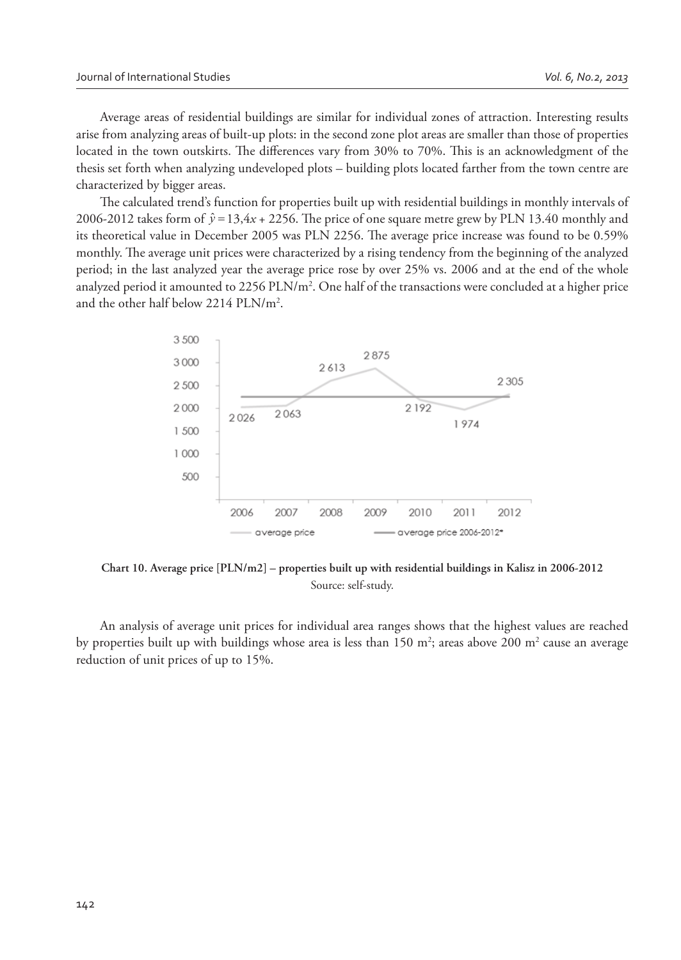Average areas of residential buildings are similar for individual zones of attraction. Interesting results arise from analyzing areas of built-up plots: in the second zone plot areas are smaller than those of properties located in the town outskirts. The differences vary from 30% to 70%. This is an acknowledgment of the thesis set forth when analyzing undeveloped plots – building plots located farther from the town centre are characterized by bigger areas.

The calculated trend's function for properties built up with residential buildings in monthly intervals of 2006-2012 takes form of  $\hat{y} = 13, 4x + 2256$ . The price of one square metre grew by PLN 13.40 monthly and its theoretical value in December 2005 was PLN 2256. The average price increase was found to be 0.59% monthly. The average unit prices were characterized by a rising tendency from the beginning of the analyzed period; in the last analyzed year the average price rose by over 25% vs. 2006 and at the end of the whole analyzed period it amounted to 2256 PLN/m<sup>2</sup>. One half of the transactions were concluded at a higher price and the other half below 2214 PLN/m<sup>2</sup> .



**Chart 10. Average price [PLN/m2] – properties built up with residential buildings in Kalisz in 2006-2012** Source: self-study.

An analysis of average unit prices for individual area ranges shows that the highest values are reached by properties built up with buildings whose area is less than  $150 \text{ m}^2$ ; areas above  $200 \text{ m}^2$  cause an average reduction of unit prices of up to 15%.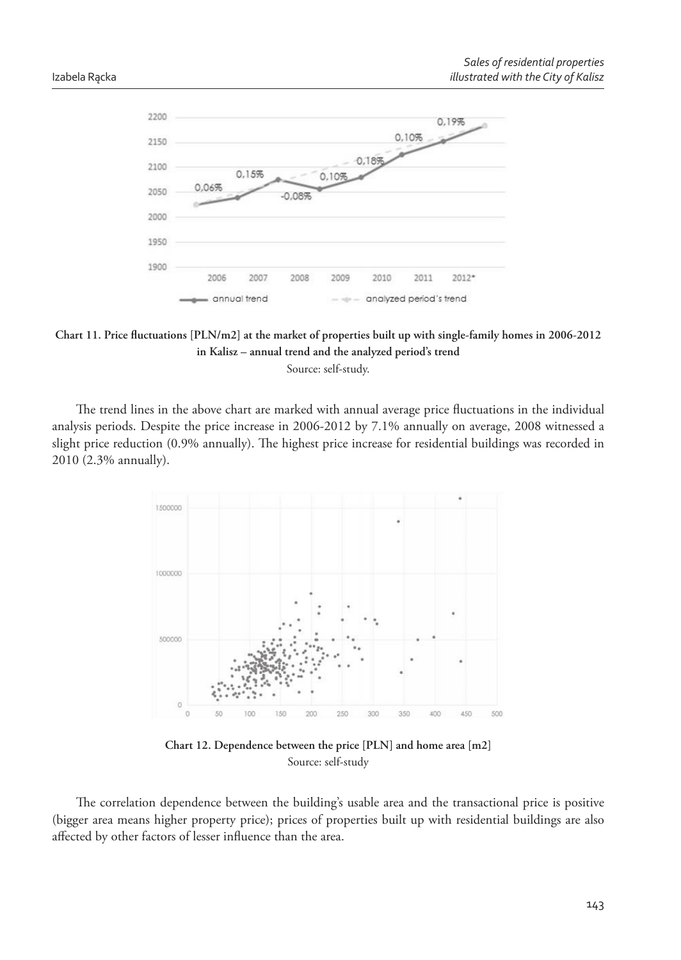

Chart 11. Price fluctuations [PLN/m2] at the market of properties built up with single-family homes in 2006-2012 **in Kalisz – annual trend and the analyzed period's trend**

Source: self-study.

The trend lines in the above chart are marked with annual average price fluctuations in the individual analysis periods. Despite the price increase in 2006-2012 by 7.1% annually on average, 2008 witnessed a slight price reduction (0.9% annually). The highest price increase for residential buildings was recorded in 2010 (2.3% annually).



**Chart 12. Dependence between the price [PLN] and home area [m2]**  Source: self-study

The correlation dependence between the building's usable area and the transactional price is positive (bigger area means higher property price); prices of properties built up with residential buildings are also affected by other factors of lesser influence than the area.